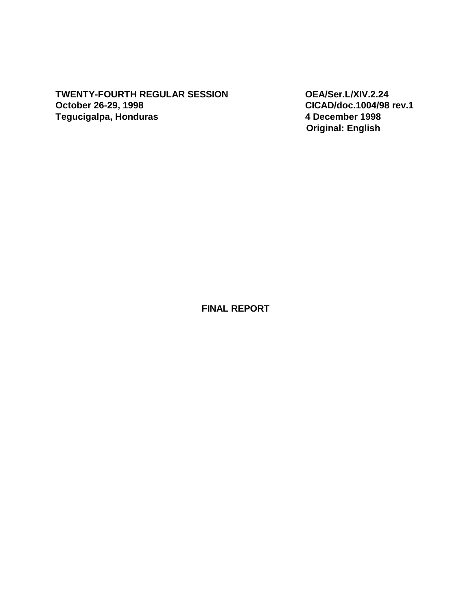# **TWENTY-FOURTH REGULAR SESSION OEA/Ser.L/XIV.2.24 October 26-29, 1998 CICAD/doc.1004/98 rev.1 Tegucigalpa, Honduras**

 **Original: English** 

**FINAL REPORT**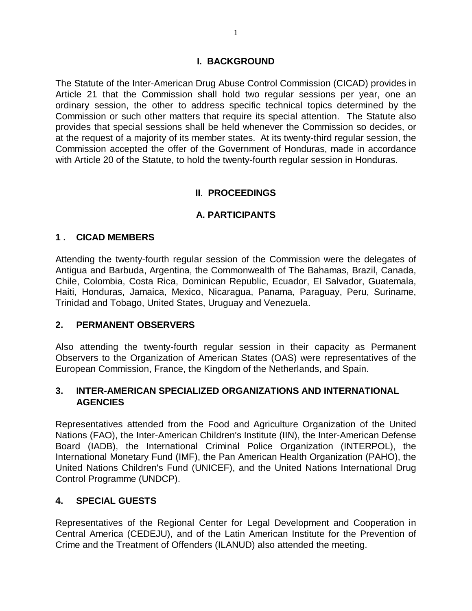#### **I. BACKGROUND**

The Statute of the Inter-American Drug Abuse Control Commission (CICAD) provides in Article 21 that the Commission shall hold two regular sessions per year, one an ordinary session, the other to address specific technical topics determined by the Commission or such other matters that require its special attention. The Statute also provides that special sessions shall be held whenever the Commission so decides, or at the request of a majority of its member states. At its twenty-third regular session, the Commission accepted the offer of the Government of Honduras, made in accordance with Article 20 of the Statute, to hold the twenty-fourth regular session in Honduras.

## **II**. **PROCEEDINGS**

#### **A. PARTICIPANTS**

#### **1 . CICAD MEMBERS**

Attending the twenty-fourth regular session of the Commission were the delegates of Antigua and Barbuda, Argentina, the Commonwealth of The Bahamas, Brazil, Canada, Chile, Colombia, Costa Rica, Dominican Republic, Ecuador, El Salvador, Guatemala, Haiti, Honduras, Jamaica, Mexico, Nicaragua, Panama, Paraguay, Peru, Suriname, Trinidad and Tobago, United States, Uruguay and Venezuela.

#### **2. PERMANENT OBSERVERS**

Also attending the twenty-fourth regular session in their capacity as Permanent Observers to the Organization of American States (OAS) were representatives of the European Commission, France, the Kingdom of the Netherlands, and Spain.

#### **3. INTER-AMERICAN SPECIALIZED ORGANIZATIONS AND INTERNATIONAL AGENCIES**

Representatives attended from the Food and Agriculture Organization of the United Nations (FAO), the Inter-American Children's Institute (IIN), the Inter-American Defense Board (IADB), the International Criminal Police Organization (INTERPOL), the International Monetary Fund (IMF), the Pan American Health Organization (PAHO), the United Nations Children's Fund (UNICEF), and the United Nations International Drug Control Programme (UNDCP).

#### **4. SPECIAL GUESTS**

Representatives of the Regional Center for Legal Development and Cooperation in Central America (CEDEJU), and of the Latin American Institute for the Prevention of Crime and the Treatment of Offenders (ILANUD) also attended the meeting.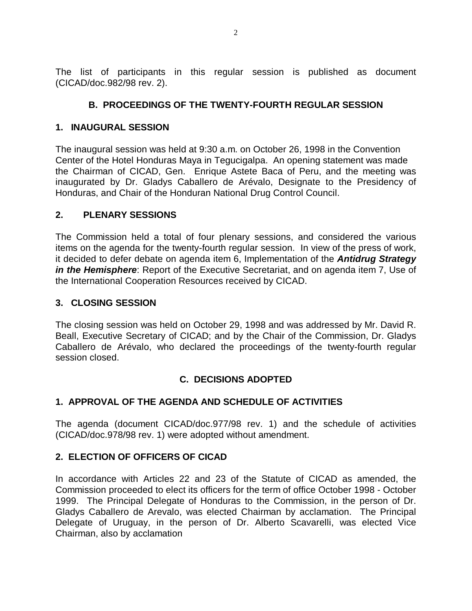The list of participants in this regular session is published as document (CICAD/doc.982/98 rev. 2).

# **B. PROCEEDINGS OF THE TWENTY-FOURTH REGULAR SESSION**

## **1. INAUGURAL SESSION**

The inaugural session was held at 9:30 a.m. on October 26, 1998 in the Convention Center of the Hotel Honduras Maya in Tegucigalpa. An opening statement was made the Chairman of CICAD, Gen. Enrique Astete Baca of Peru, and the meeting was inaugurated by Dr. Gladys Caballero de Arévalo, Designate to the Presidency of Honduras, and Chair of the Honduran National Drug Control Council.

## **2. PLENARY SESSIONS**

The Commission held a total of four plenary sessions, and considered the various items on the agenda for the twenty-fourth regular session. In view of the press of work, it decided to defer debate on agenda item 6, Implementation of the *Antidrug Strategy in the Hemisphere*: Report of the Executive Secretariat, and on agenda item 7, Use of the International Cooperation Resources received by CICAD.

# **3. CLOSING SESSION**

The closing session was held on October 29, 1998 and was addressed by Mr. David R. Beall, Executive Secretary of CICAD; and by the Chair of the Commission, Dr. Gladys Caballero de Arévalo, who declared the proceedings of the twenty-fourth regular session closed.

# **C. DECISIONS ADOPTED**

# **1. APPROVAL OF THE AGENDA AND SCHEDULE OF ACTIVITIES**

The agenda (document CICAD/doc.977/98 rev. 1) and the schedule of activities (CICAD/doc.978/98 rev. 1) were adopted without amendment.

## **2. ELECTION OF OFFICERS OF CICAD**

In accordance with Articles 22 and 23 of the Statute of CICAD as amended, the Commission proceeded to elect its officers for the term of office October 1998 - October 1999. The Principal Delegate of Honduras to the Commission, in the person of Dr. Gladys Caballero de Arevalo, was elected Chairman by acclamation. The Principal Delegate of Uruguay, in the person of Dr. Alberto Scavarelli, was elected Vice Chairman, also by acclamation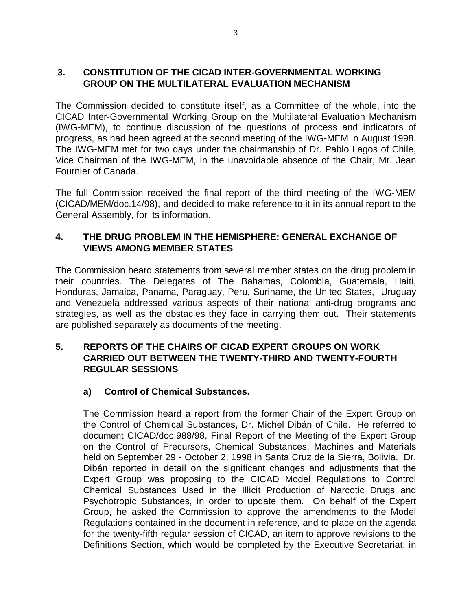#### .**3. CONSTITUTION OF THE CICAD INTER-GOVERNMENTAL WORKING GROUP ON THE MULTILATERAL EVALUATION MECHANISM**

The Commission decided to constitute itself, as a Committee of the whole, into the CICAD Inter-Governmental Working Group on the Multilateral Evaluation Mechanism (IWG-MEM), to continue discussion of the questions of process and indicators of progress, as had been agreed at the second meeting of the IWG-MEM in August 1998. The IWG-MEM met for two days under the chairmanship of Dr. Pablo Lagos of Chile, Vice Chairman of the IWG-MEM, in the unavoidable absence of the Chair, Mr. Jean Fournier of Canada.

The full Commission received the final report of the third meeting of the IWG-MEM (CICAD/MEM/doc.14/98), and decided to make reference to it in its annual report to the General Assembly, for its information.

## **4. THE DRUG PROBLEM IN THE HEMISPHERE: GENERAL EXCHANGE OF VIEWS AMONG MEMBER STATES**

The Commission heard statements from several member states on the drug problem in their countries. The Delegates of The Bahamas, Colombia, Guatemala, Haiti, Honduras, Jamaica, Panama, Paraguay, Peru, Suriname, the United States, Uruguay and Venezuela addressed various aspects of their national anti-drug programs and strategies, as well as the obstacles they face in carrying them out. Their statements are published separately as documents of the meeting.

## **5. REPORTS OF THE CHAIRS OF CICAD EXPERT GROUPS ON WORK CARRIED OUT BETWEEN THE TWENTY-THIRD AND TWENTY-FOURTH REGULAR SESSIONS**

## **a) Control of Chemical Substances.**

The Commission heard a report from the former Chair of the Expert Group on the Control of Chemical Substances, Dr. Michel Dibán of Chile. He referred to document CICAD/doc.988/98, Final Report of the Meeting of the Expert Group on the Control of Precursors, Chemical Substances, Machines and Materials held on September 29 - October 2, 1998 in Santa Cruz de la Sierra, Bolivia. Dr. Dibán reported in detail on the significant changes and adjustments that the Expert Group was proposing to the CICAD Model Regulations to Control Chemical Substances Used in the Illicit Production of Narcotic Drugs and Psychotropic Substances, in order to update them. On behalf of the Expert Group, he asked the Commission to approve the amendments to the Model Regulations contained in the document in reference, and to place on the agenda for the twenty-fifth regular session of CICAD, an item to approve revisions to the Definitions Section, which would be completed by the Executive Secretariat, in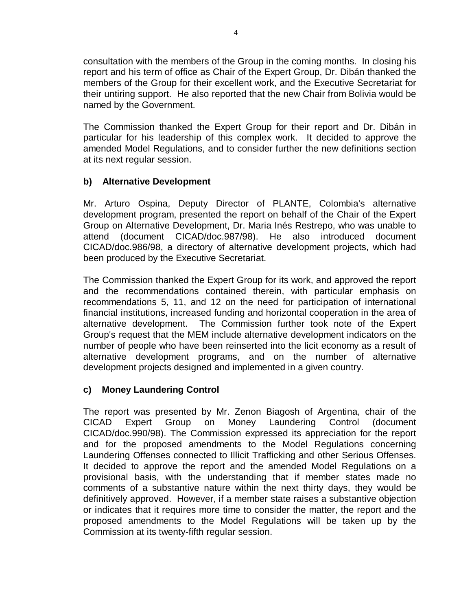consultation with the members of the Group in the coming months. In closing his report and his term of office as Chair of the Expert Group, Dr. Dibán thanked the members of the Group for their excellent work, and the Executive Secretariat for their untiring support. He also reported that the new Chair from Bolivia would be named by the Government.

The Commission thanked the Expert Group for their report and Dr. Dibán in particular for his leadership of this complex work. It decided to approve the amended Model Regulations, and to consider further the new definitions section at its next regular session.

#### **b) Alternative Development**

Mr. Arturo Ospina, Deputy Director of PLANTE, Colombia's alternative development program, presented the report on behalf of the Chair of the Expert Group on Alternative Development, Dr. Maria Inés Restrepo, who was unable to attend (document CICAD/doc.987/98). He also introduced document CICAD/doc.986/98, a directory of alternative development projects, which had been produced by the Executive Secretariat.

The Commission thanked the Expert Group for its work, and approved the report and the recommendations contained therein, with particular emphasis on recommendations 5, 11, and 12 on the need for participation of international financial institutions, increased funding and horizontal cooperation in the area of alternative development. The Commission further took note of the Expert Group's request that the MEM include alternative development indicators on the number of people who have been reinserted into the licit economy as a result of alternative development programs, and on the number of alternative development projects designed and implemented in a given country.

## **c) Money Laundering Control**

The report was presented by Mr. Zenon Biagosh of Argentina, chair of the CICAD Expert Group on Money Laundering Control (document CICAD/doc.990/98). The Commission expressed its appreciation for the report and for the proposed amendments to the Model Regulations concerning Laundering Offenses connected to Illicit Trafficking and other Serious Offenses. It decided to approve the report and the amended Model Regulations on a provisional basis, with the understanding that if member states made no comments of a substantive nature within the next thirty days, they would be definitively approved. However, if a member state raises a substantive objection or indicates that it requires more time to consider the matter, the report and the proposed amendments to the Model Regulations will be taken up by the Commission at its twenty-fifth regular session.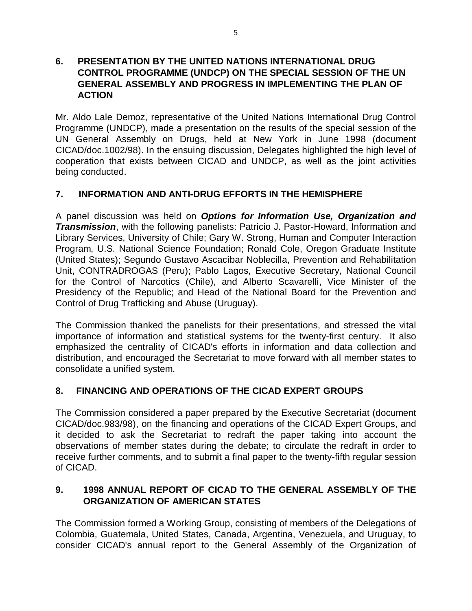#### **6. PRESENTATION BY THE UNITED NATIONS INTERNATIONAL DRUG CONTROL PROGRAMME (UNDCP) ON THE SPECIAL SESSION OF THE UN GENERAL ASSEMBLY AND PROGRESS IN IMPLEMENTING THE PLAN OF ACTION**

Mr. Aldo Lale Demoz, representative of the United Nations International Drug Control Programme (UNDCP), made a presentation on the results of the special session of the UN General Assembly on Drugs, held at New York in June 1998 (document CICAD/doc.1002/98). In the ensuing discussion, Delegates highlighted the high level of cooperation that exists between CICAD and UNDCP, as well as the joint activities being conducted.

# **7. INFORMATION AND ANTI-DRUG EFFORTS IN THE HEMISPHERE**

A panel discussion was held on *Options for Information Use, Organization and Transmission*, with the following panelists: Patricio J. Pastor-Howard, Information and Library Services, University of Chile; Gary W. Strong, Human and Computer Interaction Program, U.S. National Science Foundation; Ronald Cole, Oregon Graduate Institute (United States); Segundo Gustavo Ascacíbar Noblecilla, Prevention and Rehabilitation Unit, CONTRADROGAS (Peru); Pablo Lagos, Executive Secretary, National Council for the Control of Narcotics (Chile), and Alberto Scavarelli, Vice Minister of the Presidency of the Republic; and Head of the National Board for the Prevention and Control of Drug Trafficking and Abuse (Uruguay).

The Commission thanked the panelists for their presentations, and stressed the vital importance of information and statistical systems for the twenty-first century. It also emphasized the centrality of CICAD's efforts in information and data collection and distribution, and encouraged the Secretariat to move forward with all member states to consolidate a unified system.

## **8. FINANCING AND OPERATIONS OF THE CICAD EXPERT GROUPS**

The Commission considered a paper prepared by the Executive Secretariat (document CICAD/doc.983/98), on the financing and operations of the CICAD Expert Groups, and it decided to ask the Secretariat to redraft the paper taking into account the observations of member states during the debate; to circulate the redraft in order to receive further comments, and to submit a final paper to the twenty-fifth regular session of CICAD.

# **9. 1998 ANNUAL REPORT OF CICAD TO THE GENERAL ASSEMBLY OF THE ORGANIZATION OF AMERICAN STATES**

The Commission formed a Working Group, consisting of members of the Delegations of Colombia, Guatemala, United States, Canada, Argentina, Venezuela, and Uruguay, to consider CICAD's annual report to the General Assembly of the Organization of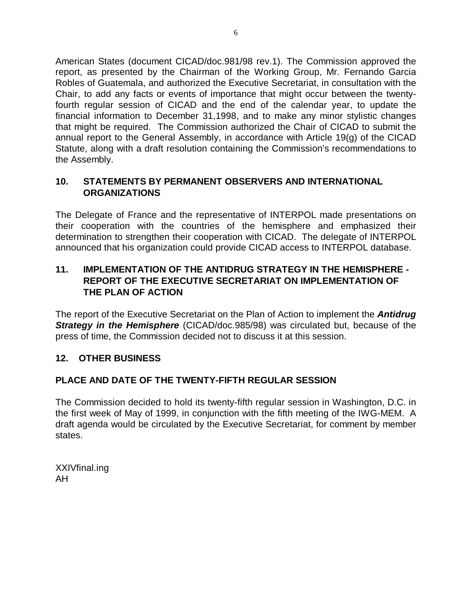American States (document CICAD/doc.981/98 rev.1). The Commission approved the report, as presented by the Chairman of the Working Group, Mr. Fernando Garcia Robles of Guatemala, and authorized the Executive Secretariat, in consultation with the Chair, to add any facts or events of importance that might occur between the twentyfourth regular session of CICAD and the end of the calendar year, to update the financial information to December 31,1998, and to make any minor stylistic changes that might be required. The Commission authorized the Chair of CICAD to submit the annual report to the General Assembly, in accordance with Article 19(g) of the CICAD Statute, along with a draft resolution containing the Commission's recommendations to the Assembly.

## **10. STATEMENTS BY PERMANENT OBSERVERS AND INTERNATIONAL ORGANIZATIONS**

The Delegate of France and the representative of INTERPOL made presentations on their cooperation with the countries of the hemisphere and emphasized their determination to strengthen their cooperation with CICAD. The delegate of INTERPOL announced that his organization could provide CICAD access to INTERPOL database.

## **11. IMPLEMENTATION OF THE ANTIDRUG STRATEGY IN THE HEMISPHERE - REPORT OF THE EXECUTIVE SECRETARIAT ON IMPLEMENTATION OF THE PLAN OF ACTION**

The report of the Executive Secretariat on the Plan of Action to implement the *Antidrug* **Strategy in the Hemisphere** (CICAD/doc.985/98) was circulated but, because of the press of time, the Commission decided not to discuss it at this session.

## **12. OTHER BUSINESS**

## **PLACE AND DATE OF THE TWENTY-FIFTH REGULAR SESSION**

The Commission decided to hold its twenty-fifth regular session in Washington, D.C. in the first week of May of 1999, in conjunction with the fifth meeting of the IWG-MEM. A draft agenda would be circulated by the Executive Secretariat, for comment by member states.

XXIVfinal.ing AH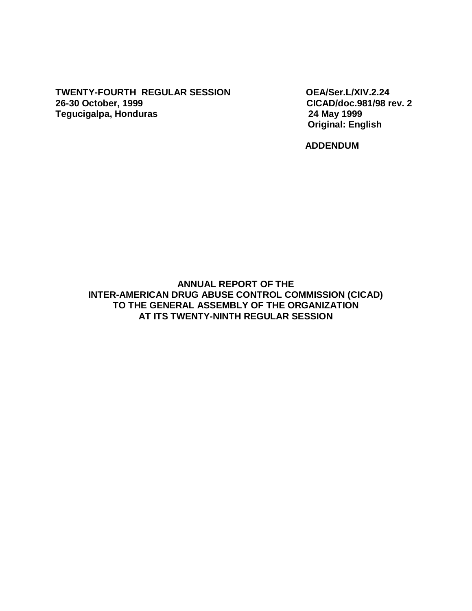#### **TWENTY-FOURTH REGULAR SESSION OEA/Ser.L/XIV.2.24 26-30 October, 1999 CICAD/doc.981/98 rev. 2 Tegucigalpa, Honduras**

 **Original: English** 

**ADDENDUM** 

**ANNUAL REPORT OF THE INTER-AMERICAN DRUG ABUSE CONTROL COMMISSION (CICAD) TO THE GENERAL ASSEMBLY OF THE ORGANIZATION AT ITS TWENTY-NINTH REGULAR SESSION**